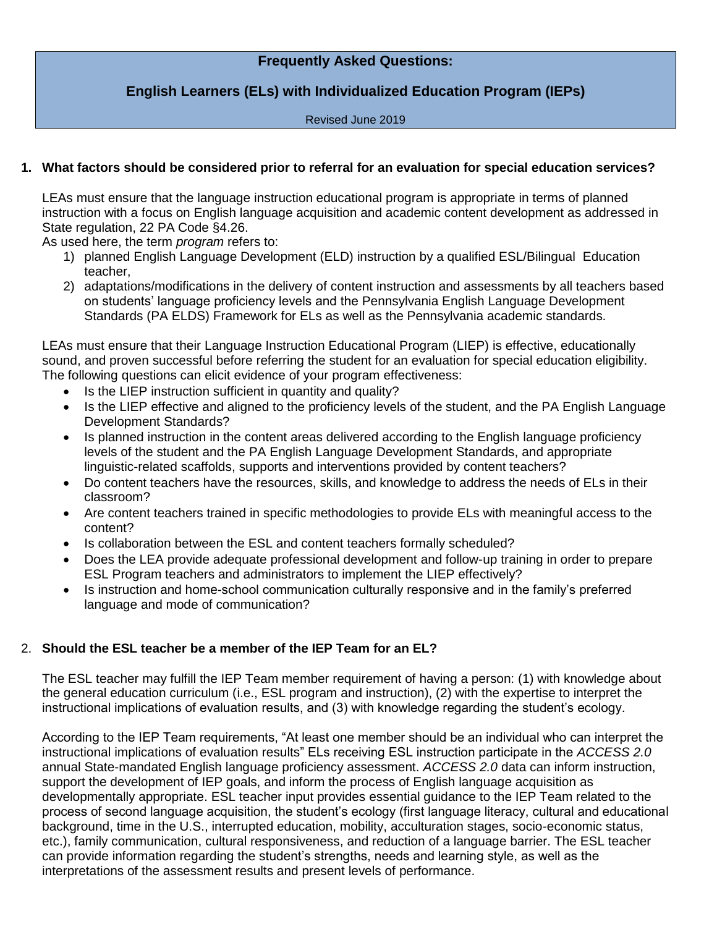# **Frequently Asked Questions:**

# **English Learners (ELs) with Individualized Education Program (IEPs)**

#### Revised June 2019

# **1. What factors should be considered prior to referral for an evaluation for special education services?**

LEAs must ensure that the language instruction educational program is appropriate in terms of planned instruction with a focus on English language acquisition and academic content development as addressed in State regulation, 22 PA Code §4.26.

As used here, the term *program* refers to:

- 1) planned English Language Development (ELD) instruction by a qualified ESL/Bilingual Education teacher,
- 2) adaptations/modifications in the delivery of content instruction and assessments by all teachers based on students' language proficiency levels and the Pennsylvania English Language Development Standards (PA ELDS) Framework for ELs as well as the Pennsylvania academic standards.

LEAs must ensure that their Language Instruction Educational Program (LIEP) is effective, educationally sound, and proven successful before referring the student for an evaluation for special education eligibility. The following questions can elicit evidence of your program effectiveness:

- Is the LIEP instruction sufficient in quantity and quality?
- Is the LIEP effective and aligned to the proficiency levels of the student, and the PA English Language Development Standards?
- Is planned instruction in the content areas delivered according to the English language proficiency levels of the student and the PA English Language Development Standards, and appropriate linguistic-related scaffolds, supports and interventions provided by content teachers?
- Do content teachers have the resources, skills, and knowledge to address the needs of ELs in their classroom?
- Are content teachers trained in specific methodologies to provide ELs with meaningful access to the content?
- Is collaboration between the ESL and content teachers formally scheduled?
- Does the LEA provide adequate professional development and follow-up training in order to prepare ESL Program teachers and administrators to implement the LIEP effectively?
- Is instruction and home-school communication culturally responsive and in the family's preferred language and mode of communication?

# 2. **Should the ESL teacher be a member of the IEP Team for an EL?**

The ESL teacher may fulfill the IEP Team member requirement of having a person: (1) with knowledge about the general education curriculum (i.e., ESL program and instruction), (2) with the expertise to interpret the instructional implications of evaluation results, and (3) with knowledge regarding the student's ecology.

According to the IEP Team requirements, "At least one member should be an individual who can interpret the instructional implications of evaluation results" ELs receiving ESL instruction participate in the *ACCESS 2.0*  annual State-mandated English language proficiency assessment. *ACCESS 2.0* data can inform instruction, support the development of IEP goals, and inform the process of English language acquisition as developmentally appropriate. ESL teacher input provides essential guidance to the IEP Team related to the process of second language acquisition, the student's ecology (first language literacy, cultural and educational background, time in the U.S., interrupted education, mobility, acculturation stages, socio-economic status, etc.), family communication, cultural responsiveness, and reduction of a language barrier. The ESL teacher can provide information regarding the student's strengths, needs and learning style, as well as the interpretations of the assessment results and present levels of performance.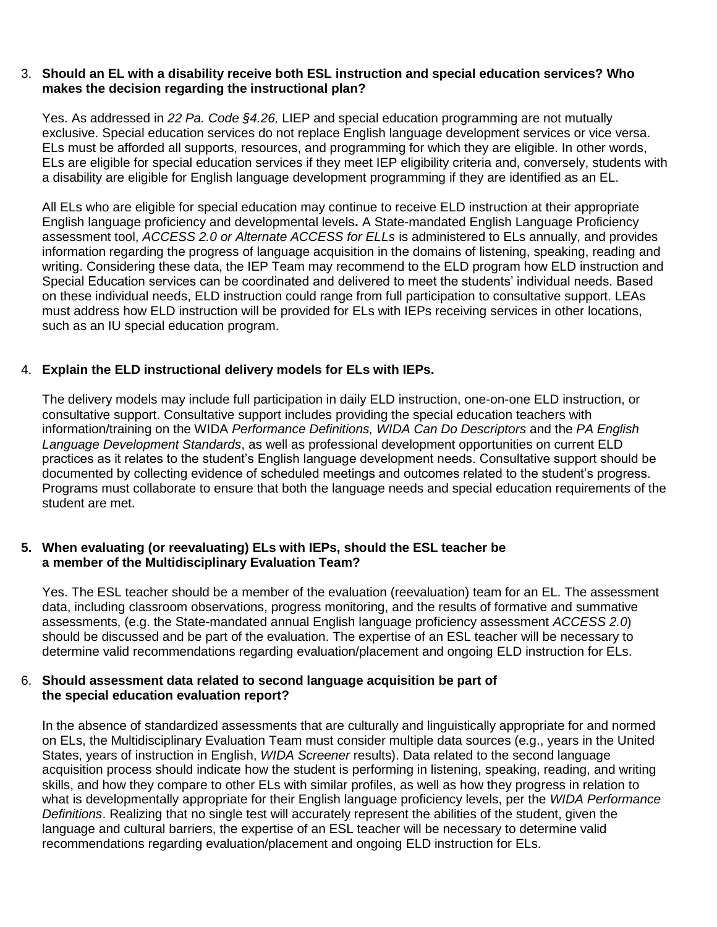#### 3. **Should an EL with a disability receive both ESL instruction and special education services? Who makes the decision regarding the instructional plan?**

Yes. As addressed in *22 Pa. Code §4.26,* LIEP and special education programming are not mutually exclusive. Special education services do not replace English language development services or vice versa. ELs must be afforded all supports, resources, and programming for which they are eligible. In other words, ELs are eligible for special education services if they meet IEP eligibility criteria and, conversely, students with a disability are eligible for English language development programming if they are identified as an EL.

All ELs who are eligible for special education may continue to receive ELD instruction at their appropriate English language proficiency and developmental levels**.** A State-mandated English Language Proficiency assessment tool, *ACCESS 2.0 or Alternate ACCESS for ELLs* is administered to ELs annually, and provides information regarding the progress of language acquisition in the domains of listening, speaking, reading and writing. Considering these data, the IEP Team may recommend to the ELD program how ELD instruction and Special Education services can be coordinated and delivered to meet the students' individual needs. Based on these individual needs, ELD instruction could range from full participation to consultative support. LEAs must address how ELD instruction will be provided for ELs with IEPs receiving services in other locations, such as an IU special education program.

### 4. **Explain the ELD instructional delivery models for ELs with IEPs.**

The delivery models may include full participation in daily ELD instruction, one-on-one ELD instruction, or consultative support. Consultative support includes providing the special education teachers with information/training on the WIDA *Performance Definitions, WIDA Can Do Descriptors* and the *PA English Language Development Standards*, as well as professional development opportunities on current ELD practices as it relates to the student's English language development needs. Consultative support should be documented by collecting evidence of scheduled meetings and outcomes related to the student's progress. Programs must collaborate to ensure that both the language needs and special education requirements of the student are met.

#### **5. When evaluating (or reevaluating) ELs with IEPs, should the ESL teacher be a member of the Multidisciplinary Evaluation Team?**

Yes. The ESL teacher should be a member of the evaluation (reevaluation) team for an EL. The assessment data, including classroom observations, progress monitoring, and the results of formative and summative assessments, (e.g. the State-mandated annual English language proficiency assessment *ACCESS 2.0*) should be discussed and be part of the evaluation. The expertise of an ESL teacher will be necessary to determine valid recommendations regarding evaluation/placement and ongoing ELD instruction for ELs.

#### 6. **Should assessment data related to second language acquisition be part of the special education evaluation report?**

In the absence of standardized assessments that are culturally and linguistically appropriate for and normed on ELs, the Multidisciplinary Evaluation Team must consider multiple data sources (e.g., years in the United States, years of instruction in English, *WIDA Screener* results). Data related to the second language acquisition process should indicate how the student is performing in listening, speaking, reading, and writing skills, and how they compare to other ELs with similar profiles, as well as how they progress in relation to what is developmentally appropriate for their English language proficiency levels, per the *WIDA Performance Definitions*. Realizing that no single test will accurately represent the abilities of the student, given the language and cultural barriers, the expertise of an ESL teacher will be necessary to determine valid recommendations regarding evaluation/placement and ongoing ELD instruction for ELs.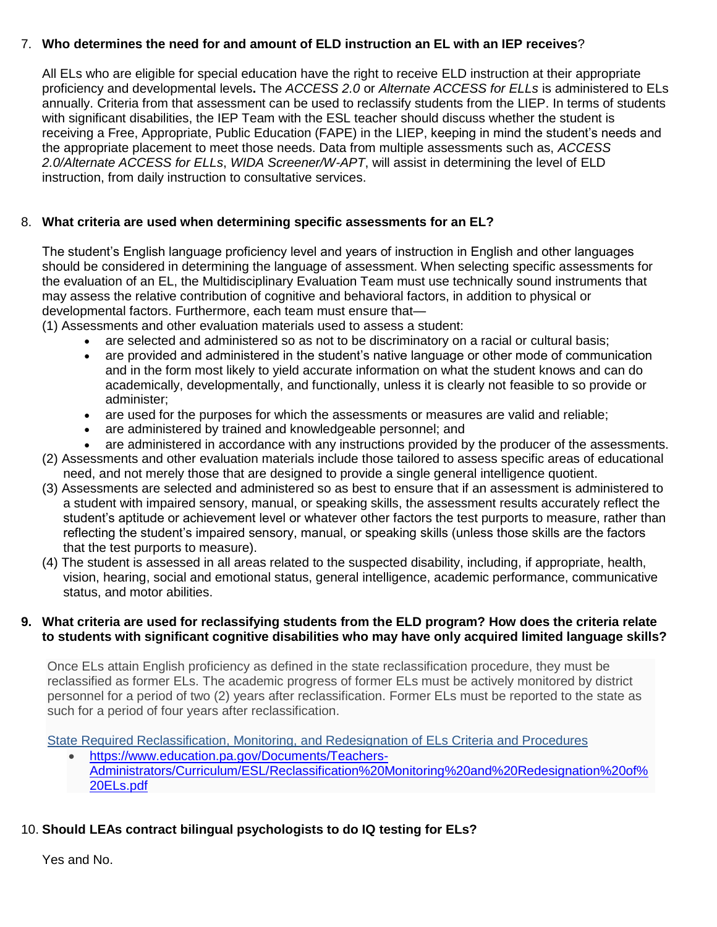### 7. **Who determines the need for and amount of ELD instruction an EL with an IEP receives**?

All ELs who are eligible for special education have the right to receive ELD instruction at their appropriate proficiency and developmental levels**.** The *ACCESS 2.0* or *Alternate ACCESS for ELLs* is administered to ELs annually. Criteria from that assessment can be used to reclassify students from the LIEP. In terms of students with significant disabilities, the IEP Team with the ESL teacher should discuss whether the student is receiving a Free, Appropriate, Public Education (FAPE) in the LIEP, keeping in mind the student's needs and the appropriate placement to meet those needs. Data from multiple assessments such as, *ACCESS 2.0/Alternate ACCESS for ELLs*, *WIDA Screener/W-APT*, will assist in determining the level of ELD instruction, from daily instruction to consultative services.

### 8. **What criteria are used when determining specific assessments for an EL?**

The student's English language proficiency level and years of instruction in English and other languages should be considered in determining the language of assessment. When selecting specific assessments for the evaluation of an EL, the Multidisciplinary Evaluation Team must use technically sound instruments that may assess the relative contribution of cognitive and behavioral factors, in addition to physical or developmental factors. Furthermore, each team must ensure that—

(1) Assessments and other evaluation materials used to assess a student:

- are selected and administered so as not to be discriminatory on a racial or cultural basis;
- are provided and administered in the student's native language or other mode of communication and in the form most likely to yield accurate information on what the student knows and can do academically, developmentally, and functionally, unless it is clearly not feasible to so provide or administer;
- are used for the purposes for which the assessments or measures are valid and reliable;
- are administered by trained and knowledgeable personnel; and
- are administered in accordance with any instructions provided by the producer of the assessments. (2) Assessments and other evaluation materials include those tailored to assess specific areas of educational need, and not merely those that are designed to provide a single general intelligence quotient.
- (3) Assessments are selected and administered so as best to ensure that if an assessment is administered to a student with impaired sensory, manual, or speaking skills, the assessment results accurately reflect the student's aptitude or achievement level or whatever other factors the test purports to measure, rather than reflecting the student's impaired sensory, manual, or speaking skills (unless those skills are the factors that the test purports to measure).
- (4) The student is assessed in all areas related to the suspected disability, including, if appropriate, health, vision, hearing, social and emotional status, general intelligence, academic performance, communicative status, and motor abilities.

### **9. What criteria are used for reclassifying students from the ELD program? How does the criteria relate to students with significant cognitive disabilities who may have only acquired limited language skills?**

Once ELs attain English proficiency as defined in the state reclassification procedure, they must be reclassified as former ELs. The academic progress of former ELs must be actively monitored by district personnel for a period of two (2) years after reclassification. Former ELs must be reported to the state as such for a period of four years after reclassification.

[State Required Reclassification, Monitoring, and Redesignation of ELs Criteria and Procedures](https://www.education.pa.gov/Documents/Teachers-Administrators/Curriculum/ESL/Reclassification%20Monitoring%20and%20Redesignation%20of%20ELs.pdf)

 [https://www.education.pa.gov/Documents/Teachers-](https://www.education.pa.gov/Documents/Teachers-Administrators/Curriculum/ESL/Reclassification%20Monitoring%20and%20Redesignation%20of%20ELs.pdf)[Administrators/Curriculum/ESL/Reclassification%20Monitoring%20and%20Redesignation%20of%](https://www.education.pa.gov/Documents/Teachers-Administrators/Curriculum/ESL/Reclassification%20Monitoring%20and%20Redesignation%20of%20ELs.pdf) [20ELs.pdf](https://www.education.pa.gov/Documents/Teachers-Administrators/Curriculum/ESL/Reclassification%20Monitoring%20and%20Redesignation%20of%20ELs.pdf)

# 10. **Should LEAs contract bilingual psychologists to do IQ testing for ELs?**

Yes and No.